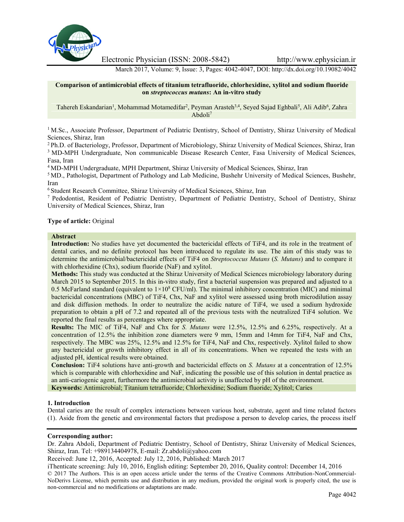

Electronic Physician (ISSN: 2008-5842) http://www.ephysician.ir

March 2017, Volume: 9, Issue: 3, Pages: 4042-4047, DOI: http://dx.doi.org/10.19082/4042

**Comparison of antimicrobial effects of titanium tetrafluoride, chlorhexidine, xylitol and sodium fluoride on** *streptococcus mutans***: An in-vitro study**

Tahereh Eskandarian<sup>1</sup>, Mohammad Motamedifar<sup>2</sup>, Peyman Arasteh<sup>3,4</sup>, Seyed Sajad Eghbali<sup>5</sup>, Ali Adib<sup>6</sup>, Zahra Abdoli<sup>7</sup>

<sup>1</sup> M.Sc., Associate Professor, Department of Pediatric Dentistry, School of Dentistry, Shiraz University of Medical Sciences, Shiraz, Iran

<sup>2</sup> Ph.D. of Bacteriology, Professor, Department of Microbiology, Shiraz University of Medical Sciences, Shiraz, Iran <sup>3</sup> MD-MPH Undergraduate, Non communicable Disease Research Center, Fasa University of Medical Sciences, Fasa, Iran

<sup>4</sup> MD-MPH Undergraduate, MPH Department, Shiraz University of Medical Sciences, Shiraz, Iran

<sup>5</sup> MD., Pathologist, Department of Pathology and Lab Medicine, Bushehr University of Medical Sciences, Bushehr, Iran

<sup>6</sup> Student Research Committee, Shiraz University of Medical Sciences, Shiraz, Iran

<sup>7</sup> Pedodontist, Resident of Pediatric Dentistry, Department of Pediatric Dentistry, School of Dentistry, Shiraz University of Medical Sciences, Shiraz, Iran

## **Type of article:** Original

#### **Abstract**

**Introduction:** No studies have yet documented the bactericidal effects of TiF4, and its role in the treatment of dental caries, and no definite protocol has been introduced to regulate its use. The aim of this study was to determine the antimicrobial/bactericidal effects of TiF4 on *Streptococcus Mutans* (*S. Mutans*) and to compare it with chlorhexidine (Chx), sodium fluoride (NaF) and xylitol.

**Methods:** This study was conducted at the Shiraz University of Medical Sciences microbiology laboratory during March 2015 to September 2015. In this in-vitro study, first a bacterial suspension was prepared and adjusted to a 0.5 McFarland standard (equivalent to  $1\times10^8$  CFU/ml). The minimal inhibitory concentration (MIC) and minimal bactericidal concentrations (MBC) of TiF4, Chx, NaF and xylitol were assessed using broth microdilution assay and disk diffusion methods. In order to neutralize the acidic nature of TiF4, we used a sodium hydroxide preparation to obtain a pH of 7.2 and repeated all of the previous tests with the neutralized TiF4 solution. We reported the final results as percentages where appropriate.

**Results:** The MIC of TiF4, NaF and Chx for *S. Mutans* were 12.5%, 12.5% and 6.25%, respectively. At a concentration of 12.5% the inhibition zone diameters were 9 mm, 15mm and 14mm for TiF4, NaF and Chx, respectively. The MBC was 25%, 12.5% and 12.5% for TiF4, NaF and Chx, respectively. Xylitol failed to show any bactericidal or growth inhibitory effect in all of its concentrations. When we repeated the tests with an adjusted pH, identical results were obtained.

**Conclusion:** TiF4 solutions have anti-growth and bactericidal effects on *S. Mutans* at a concentration of 12.5% which is comparable with chlorhexidine and NaF, indicating the possible use of this solution in dental practice as an anti-cariogenic agent, furthermore the antimicrobial activity is unaffected by pH of the environment. **Keywords:** Antimicrobial; Titanium tetrafluoride; Chlorhexidine; Sodium fluoride; Xylitol; Caries

#### **1. Introduction**

Dental caries are the result of complex interactions between various host, substrate, agent and time related factors (1). Aside from the genetic and environmental factors that predispose a person to develop caries, the process itself

#### **Corresponding author:**

Dr. Zahra Abdoli, Department of Pediatric Dentistry, School of Dentistry, Shiraz University of Medical Sciences, Shiraz, Iran. Tel: +989134404978, E-mail: Zr.abdoli@yahoo.com

Received: June 12, 2016, Accepted: July 12, 2016, Published: March 2017

iThenticate screening: July 10, 2016, English editing: September 20, 2016, Quality control: December 14, 2016 © 2017 The Authors. This is an open access article under the terms of the Creative Commons Attribution-NonCommercial- NoDerivs License, which permits use and distribution in any medium, provided the original work is properly cited, the use is non-commercial and no modifications or adaptations are made.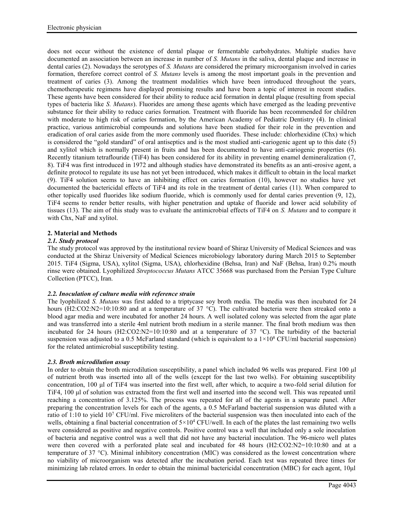does not occur without the existence of dental plaque or fermentable carbohydrates. Multiple studies have documented an association between an increase in number of *S. Mutans* in the saliva, dental plaque and increase in dental caries (2). Nowadays the serotypes of *S. Mutans* are considered the primary microorganism involved in caries formation, therefore correct control of *S. Mutans* levels is among the most important goals in the prevention and treatment of caries (3). Among the treatment modalities which have been introduced throughout the years, chemotherapeutic regimens have displayed promising results and have been a topic of interest in recent studies. These agents have been considered for their ability to reduce acid formation in dental plaque (resulting from special types of bacteria like *S. Mutans*). Fluorides are among these agents which have emerged as the leading preventive substance for their ability to reduce caries formation. Treatment with fluoride has been recommended for children with moderate to high risk of caries formation, by the American Academy of Pediatric Dentistry (4). In clinical practice, various antimicrobial compounds and solutions have been studied for their role in the prevention and eradication of oral caries aside from the more commonly used fluorides. These include: chlorhexidine (Chx) which is considered the "gold standard" of oral antiseptics and is the most studied anti-cariogenic agent up to this date (5) and xylitol which is normally present in fruits and has been documented to have anti-cariogenic properties (6). Recently titanium tetraflouride (TiF4) has been considered for its ability in preventing enamel demineralization (7, 8). TiF4 was first introduced in 1972 and although studies have demonstrated its benefits as an anti-erosive agent, a definite protocol to regulate its use has not yet been introduced, which makes it difficult to obtain in the local market (9). TiF4 solution seems to have an inhibiting effect on caries formation (10), however no studies have yet documented the bactericidal effects of TiF4 and its role in the treatment of dental caries (11). When compared to other topically used fluorides like sodium fluoride, which is commonly used for dental caries prevention (9, 12), TiF4 seems to render better results, with higher penetration and uptake of fluoride and lower acid solubility of tissues (13). The aim of this study was to evaluate the antimicrobial effects of TiF4 on *S. Mutans* and to compare it with Chx, NaF and xylitol.

# **2. Material and Methods**

# *2.1. Study protocol*

The study protocol was approved by the institutional review board of Shiraz University of Medical Sciences and was conducted at the Shiraz University of Medical Sciences microbiology laboratory during March 2015 to September 2015. TiF4 (Sigma, USA), xylitol (Sigma, USA), chlorhexidine (Behsa, Iran) and NaF (Behsa, Iran) 0.2% mouth rinse were obtained. Lyophilized *Streptococcus Mutans* ATCC 35668 was purchased from the Persian Type Culture Collection (PTCC), Iran.

# *2.2. Inoculation of culture media with reference strain*

The lyophilized *S. Mutans* was first added to a triptycase soy broth media. The media was then incubated for 24 hours (H2:CO2:N2=10:10:80 and at a temperature of 37 °C). The cultivated bacteria were then streaked onto a blood agar media and were incubated for another 24 hours. A well isolated colony was selected from the agar plate and was transferred into a sterile 4ml nutrient broth medium in a sterile manner. The final broth medium was then incubated for 24 hours (H2:CO2:N2=10:10:80 and at a temperature of 37 °C). The turbidity of the bacterial suspension was adjusted to a 0.5 McFarland standard (which is equivalent to a  $1\times10^8$  CFU/ml bacterial suspension) for the related antimicrobial susceptibility testing.

# *2.3. Broth microdilution assay*

In order to obtain the broth microdilution susceptibility, a panel which included 96 wells was prepared. First 100 μl of nutrient broth was inserted into all of the wells (except for the last two wells). For obtaining susceptibility concentration, 100 μl of TiF4 was inserted into the first well, after which, to acquire a two-fold serial dilution for TiF4, 100 μl of solution was extracted from the first well and inserted into the second well. This was repeated until reaching a concentration of 3.125%. The process was repeated for all of the agents in a separate panel. After preparing the concentration levels for each of the agents, a 0.5 McFarland bacterial suspension was diluted with a ratio of 1:10 to yield 10<sup>7</sup> CFU/ml. Five microliters of the bacterial suspension was then inoculated into each of the wells, obtaining a final bacterial concentration of  $5 \times 10^4$  CFU/well. In each of the plates the last remaining two wells were considered as positive and negative controls. Positive control was a well that included only a sole inoculation of bacteria and negative control was a well that did not have any bacterial inoculation. The 96-micro well plates were then covered with a perforated plate seal and incubated for 48 hours (H2:CO2:N2=10:10:80 and at a temperature of 37 °C). Minimal inhibitory concentration (MIC) was considered as the lowest concentration where no viability of microorganism was detected after the incubation period. Each test was repeated three times for minimizing lab related errors. In order to obtain the minimal bactericidal concentration (MBC) for each agent, 10μl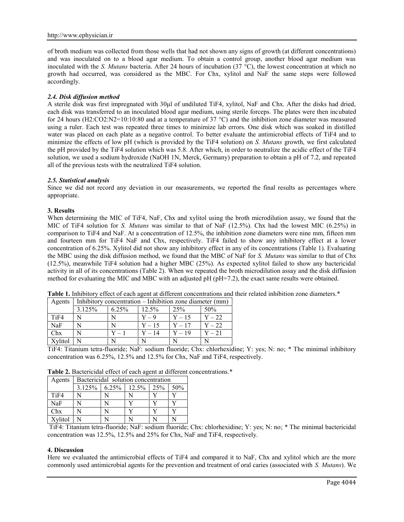of broth medium was collected from those wells that had not shown any signs of growth (at different concentrations) and was inoculated on to a blood agar medium. To obtain a control group, another blood agar medium was inoculated with the *S. Mutans* bacteria. After 24 hours of incubation (37 °C), the lowest concentration at which no growth had occurred, was considered as the MBC. For Chx, xylitol and NaF the same steps were followed accordingly.

## *2.4. Disk diffusion method*

A sterile disk was first impregnated with 30μl of undiluted TiF4, xylitol, NaF and Chx. After the disks had dried, each disk was transferred to an inoculated blood agar medium, using sterile forceps. The plates were then incubated for 24 hours (H2:CO2:N2=10:10:80 and at a temperature of 37 °C) and the inhibition zone diameter was measured using a ruler. Each test was repeated three times to minimize lab errors. One disk which was soaked in distilled water was placed on each plate as a negative control. To better evaluate the antimicrobial effects of TiF4 and to minimize the effects of low pH (which is provided by the TiF4 solution) on *S. Mutans* growth, we first calculated the pH provided by the TiF4 solution which was 5.8. After which, in order to neutralize the acidic effect of the TiF4 solution, we used a sodium hydroxide (NaOH 1N, Merck, Germany) preparation to obtain a pH of 7.2, and repeated all of the previous tests with the neutralized TiF4 solution.

#### *2.5. Statistical analysis*

Since we did not record any deviation in our measurements, we reported the final results as percentages where appropriate.

## **3. Results**

When determining the MIC of TiF4, NaF, Chx and xylitol using the broth microdilution assay, we found that the MIC of TiF4 solution for *S. Mutans* was similar to that of NaF (12.5%). Chx had the lowest MIC (6.25%) in comparison to TiF4 and NaF. At a concentration of 12.5%, the inhibition zone diameters were nine mm, fifteen mm and fourteen mm for TiF4 NaF and Chx, respectively. TiF4 failed to show any inhibitory effect at a lower concentration of 6.25%. Xylitol did not show any inhibitory effect in any of its concentrations (Table 1). Evaluating the MBC using the disk diffusion method, we found that the MBC of NaF for *S. Mutans* was similar to that of Chx (12.5%), meanwhile TiF4 solution had a higher MBC (25%). As expected xylitol failed to show any bactericidal activity in all of its concentrations (Table 2). When we repeated the broth microdilution assay and the disk diffusion method for evaluating the MIC and MBC with an adjusted pH (pH=7.2), the exact same results were obtained.

|            | Agents   Inhibitory concentration $-$ Inhibition zone diameter (mm) |         |          |                 |          |
|------------|---------------------------------------------------------------------|---------|----------|-----------------|----------|
|            | 3.125%                                                              | 6.25%   | $12.5\%$ | 25 <sup>%</sup> | 50%      |
| TiF4       |                                                                     |         | $Y = 9$  | $Y-15$          | $Y - 22$ |
| <b>NaF</b> |                                                                     |         | $Y - 15$ | $\mid$ Y $-$ 17 | $Y - 22$ |
| Chx        |                                                                     | $Y - 1$ | $Y - 14$ | $Y - 19$        | $Y - 21$ |
| Xylitol    |                                                                     |         | N        |                 |          |

**Table 1.** Inhibitory effect of each agent at different concentrations and their related inhibition zone diameters.\*

TiF4: Titanium tetra-fluoride; NaF: sodium fluoride; Chx: chlorhexidine; Y: yes; N: no; \* The minimal inhibitory concentration was 6.25%, 12.5% and 12.5% for Chx, NaF and TiF4, respectively.

**Table 2.** Bactericidal effect of each agent at different concentrations.\*

| Agents           | Bactericidal solution concentration |  |                  |                 |        |  |  |
|------------------|-------------------------------------|--|------------------|-----------------|--------|--|--|
|                  | $3.125\%$                           |  | $6.25\%$   12.5% | 25 <sup>%</sup> | $50\%$ |  |  |
| T <sub>iF4</sub> |                                     |  |                  |                 |        |  |  |
| NaF              |                                     |  |                  |                 |        |  |  |
| Chx              |                                     |  |                  |                 |        |  |  |
| Xylitol          |                                     |  |                  |                 |        |  |  |

TiF4: Titanium tetra-fluoride; NaF: sodium fluoride; Chx: chlorhexidine; Y: yes; N: no; \* The minimal bactericidal concentration was 12.5%, 12.5% and 25% for Chx, NaF and TiF4, respectively.

#### **4. Discussion**

Here we evaluated the antimicrobial effects of TiF4 and compared it to NaF, Chx and xylitol which are the more commonly used antimicrobial agents for the prevention and treatment of oral caries (associated with *S. Mutans*). We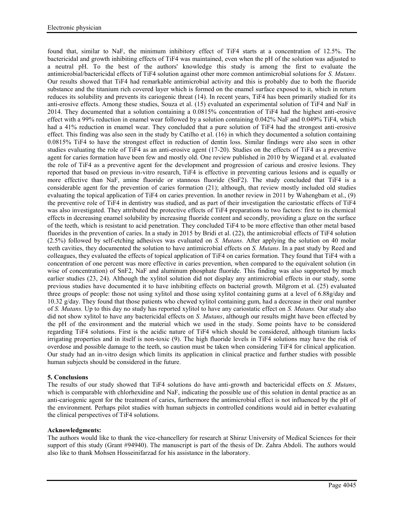found that, similar to NaF, the minimum inhibitory effect of TiF4 starts at a concentration of 12.5%. The bactericidal and growth inhibiting effects of TiF4 was maintained, even when the pH of the solution was adjusted to a neutral pH. To the best of the authors' knowledge this study is among the first to evaluate the antimicrobial/bactericidal effects of TiF4 solution against other more common antimicrobial solutions for *S. Mutans*. Our results showed that TiF4 had remarkable antimicrobial activity and this is probably due to both the fluoride substance and the titanium rich covered layer which is formed on the enamel surface exposed to it, which in return reduces its solubility and prevents its cariogenic threat (14). In recent years, TiF4 has been primarily studied for its anti-erosive effects. Among these studies, Souza et al. (15) evaluated an experimental solution of TiF4 and NaF in 2014. They documented that a solution containing a 0.0815% concentration of TiF4 had the highest anti-erosive effect with a 99% reduction in enamel wear followed by a solution containing 0.042% NaF and 0.049% TiF4, which had a 41% reduction in enamel wear. They concluded that a pure solution of TiF4 had the strongest anti-erosive effect. This finding was also seen in the study by Catilho et al. (16) in which they documented a solution containing 0.0815% TiF4 to have the strongest effect in reduction of dentin loss. Similar findings were also seen in other studies evaluating the role of TiF4 as an anti-erosive agent (17-20). Studies on the effects of TiF4 as a preventive agent for caries formation have been few and mostly old. One review published in 2010 by Wiegand et al. evaluated the role of TiF4 as a preventive agent for the development and progression of carious and erosive lesions. They reported that based on previous in-vitro research, TiF4 is effective in preventing carious lesions and is equally or more effective than NaF, amine fluoride or stannous fluoride (SnF2). The study concluded that TiF4 is a considerable agent for the prevention of caries formation (21); although, that review mostly included old studies evaluating the topical application of TiF4 on caries prevention. In another review in 2011 by Wahengbam et al., (9) the preventive role of TiF4 in dentistry was studied, and as part of their investigation the cariostatic effects of TiF4 was also investigated. They attributed the protective effects of TiF4 preparations to two factors: first to its chemical effects in decreasing enamel solubility by increasing fluoride content and secondly, providing a glaze on the surface of the teeth, which is resistant to acid penetration. They concluded TiF4 to be more effective than other metal based fluorides in the prevention of caries. In a study in 2015 by Bridi et al. (22), the antimicrobial effects of TiF4 solution (2.5%) followed by self-etching adhesives was evaluated on *S. Mutans.* After applying the solution on 40 molar teeth cavities, they documented the solution to have antimicrobial effects on *S. Mutans*. In a past study by Reed and colleagues, they evaluated the effects of topical application of TiF4 on caries formation. They found that TiF4 with a concentration of one percent was more effective in caries prevention, when compared to the equivalent solution (in wise of concentration) of SnF2, NaF and aluminum phosphate fluoride. This finding was also supported by much earlier studies (23, 24). Although the xylitol solution did not display any antimicrobial effects in our study, some previous studies have documented it to have inhibiting effects on bacterial growth. Milgrom et al. (25) evaluated three groups of people: those not using xylitol and those using xylitol containing gums at a level of 6.88g/day and 10.32 g/day. They found that those patients who chewed xylitol containing gum, had a decrease in their oral number of *S. Mutans.* Up to this day no study has reported xylitol to have any cariostatic effect on *S. Mutans.* Our study also did not show xylitol to have any bactericidal effects on *S. Mutans*, although our results might have been effected by the pH of the environment and the material which we used in the study. Some points have to be considered regarding TiF4 solutions. First is the acidic nature of TiF4 which should be considered, although titanium lacks irrigating properties and in itself is non-toxic (9). The high fluoride levels in TiF4 solutions may have the risk of overdose and possible damage to the teeth, so caution must be taken when considering TiF4 for clinical application. Our study had an in-vitro design which limits its application in clinical practice and further studies with possible human subjects should be considered in the future.

## **5. Conclusions**

The results of our study showed that TiF4 solutions do have anti-growth and bactericidal effects on *S. Mutans*, which is comparable with chlorhexidine and NaF, indicating the possible use of this solution in dental practice as an anti-cariogenic agent for the treatment of caries, furthermore the antimicrobial effect is not influenced by the pH of the environment. Perhaps pilot studies with human subjects in controlled conditions would aid in better evaluating the clinical perspectives of TiF4 solutions.

## **Acknowledgments:**

The authors would like to thank the vice-chancellery for research at Shiraz University of Medical Sciences for their support of this study (Grant #94940). The manuscript is part of the thesis of Dr. Zahra Abdoli. The authors would also like to thank Mohsen Hosseinifarzad for his assistance in the laboratory.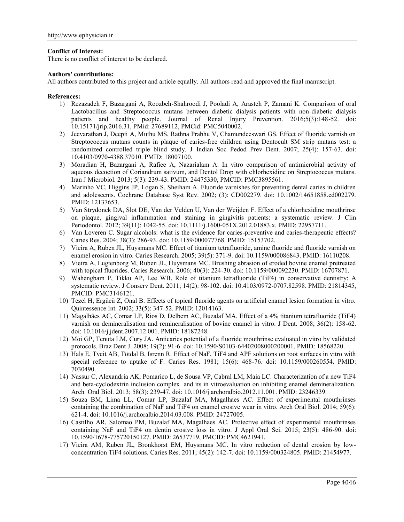## **Conflict of Interest:**

There is no conflict of interest to be declared.

### **Authors' contributions:**

All authors contributed to this project and article equally. All authors read and approved the final manuscript.

### **References:**

- 1) Rezazadeh F, Bazargani A, Roozbeh-Shahroodi J, Pooladi A, Arasteh P, Zamani K. Comparison of oral Lactobacillus and Streptococcus mutans between diabetic dialysis patients with non-diabetic dialysis patients and healthy people. Journal of Renal Injury Prevention. 2016;5(3):148-52. doi: 10.15171/jrip.2016.31, PMid: 27689112, PMCid: PMC5040002.
- 2) Jeevarathan J, Deepti A, Muthu MS, Rathna Prabhu V, Chamundeeswari GS. Effect of fluoride varnish on Streptococcus mutans counts in plaque of caries-free children using Dentocult SM strip mutans test: a randomized controlled triple blind study. J Indian Soc Pedod Prev Dent. 2007; 25(4): 157-63. doi: 10.4103/0970-4388.37010. PMID: 18007100.
- 3) Moradian H, Bazargani A, Rafiee A, Nazarialam A. In vitro comparison of antimicrobial activity of aqueous decoction of Coriandrum sativum, and Dentol Drop with chlorhexidine on Streptococcus mutans. Iran J Microbiol. 2013; 5(3): 239-43. PMID: 24475330, PMCID: PMC3895561.
- 4) Marinho VC, Higgins JP, Logan S, Sheiham A. Fluoride varnishes for preventing dental caries in children and adolescents. Cochrane Database Syst Rev. 2002; (3): CD002279. doi: 10.1002/14651858.cd002279. PMID: 12137653.
- 5) Van Strydonck DA, Slot DE, Van der Velden U, Van der Weijden F. Effect of a chlorhexidine mouthrinse on plaque, gingival inflammation and staining in gingivitis patients: a systematic review. J Clin Periodontol. 2012; 39(11): 1042-55. doi: 10.1111/j.1600-051X.2012.01883.x. PMID: 22957711.
- 6) Van Loveren C. Sugar alcohols: what is the evidence for caries-preventive and caries-therapeutic effects? Caries Res. 2004; 38(3): 286-93. doi: 10.1159/000077768. PMID: 15153702.
- 7) Vieira A, Ruben JL, Huysmans MC. Effect of titanium tetrafluoride, amine fluoride and fluoride varnish on enamel erosion in vitro. Caries Research. 2005; 39(5): 371-9. doi: 10.1159/000086843. PMID: 16110208.
- 8) Vieira A, Lugtenborg M, Ruben JL, Huysmans MC. Brushing abrasion of eroded bovine enamel pretreated with topical fluorides. Caries Research. 2006; 40(3): 224-30. doi: 10.1159/000092230. PMID: 16707871.
- 9) Wahengbam P, Tikku AP, Lee WB. Role of titanium tetrafluoride (TiF4) in conservative dentistry: A systematic review. J Conserv Dent. 2011; 14(2): 98-102. doi: 10.4103/0972-0707.82598. PMID: 21814345, PMCID: PMC3146121.
- 10) Tezel H, Ergücü Z, Onal B. Effects of topical fluoride agents on artificial enamel lesion formation in vitro. Quintessence Int. 2002; 33(5): 347-52. PMID: 12014163.
- 11) Magalhães AC, Comar LP, Rios D, Delbem AC, Buzalaf MA. Effect of a 4% titanium tetrafluoride (TiF4) varnish on demineralisation and remineralisation of bovine enamel in vitro. J Dent. 2008; 36(2): 158-62. doi: 10.1016/j.jdent.2007.12.001. PMID: 18187248.
- 12) Moi GP, Tenuta LM, Cury JA. Anticaries potential of a fluoride mouthrinse evaluated in vitro by validated protocols. Braz Dent J. 2008; 19(2): 91-6. doi: 10.1590/S0103-64402008000200001. PMID: 18568220.
- 13) Hals E, Tveit AB, Tötdal B, Isrenn R. Effect of NaF, TiF4 and APF solutions on root surfaces in vitro with special reference to uptake of F. Caries Res. 1981; 15(6): 468-76. doi: 10.1159/000260554. PMID: 7030490.
- 14) Nassur C, Alexandria AK, Pomarico L, de Sousa VP, Cabral LM, Maia LC. Characterization of a new TiF4 and beta-cyclodextrin inclusion complex and its in vitroevaluation on inhibiting enamel demineralization. Arch Oral Biol. 2013; 58(3): 239-47. doi: 10.1016/j.archoralbio.2012.11.001. PMID: 23246339.
- 15) Souza BM, Lima LL, Comar LP, Buzalaf MA, Magalhaes AC. Effect of experimental mouthrinses containing the combination of NaF and TiF4 on enamel erosive wear in vitro. Arch Oral Biol. 2014; 59(6): 621-4. doi: 10.1016/j.archoralbio.2014.03.008. PMID: 24727005.
- 16) Castilho AR, Salomao PM, Buzalaf MA, Magalhaes AC. Protective effect of experimental mouthrinses containing NaF and TiF4 on dentin erosive loss in vitro. J Appl Oral Sci. 2015; 23(5): 486-90. doi: 10.1590/1678-775720150127. PMID: 26537719, PMCID: PMC4621941.
- 17) Vieira AM, Ruben JL, Bronkhorst EM, Huysmans MC. In vitro reduction of dental erosion by low concentration TiF4 solutions. Caries Res. 2011; 45(2): 142-7. doi: 10.1159/000324805. PMID: 21454977.